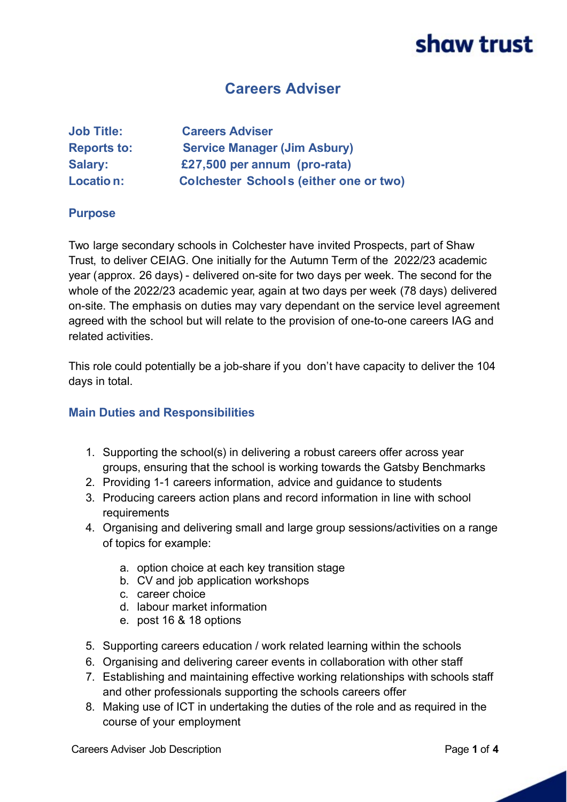### **Careers Adviser**

| <b>Job Title:</b>  | <b>Careers Adviser</b>                        |
|--------------------|-----------------------------------------------|
| <b>Reports to:</b> | <b>Service Manager (Jim Asbury)</b>           |
| <b>Salary:</b>     | £27,500 per annum (pro-rata)                  |
| Location:          | <b>Colchester Schools (either one or two)</b> |

#### **Purpose**

Two large secondary schools in Colchester have invited Prospects, part of Shaw Trust, to deliver CEIAG. One initially for the Autumn Term of the 2022/23 academic year (approx. 26 days) - delivered on-site for two days per week. The second for the whole of the 2022/23 academic year, again at two days per week (78 days) delivered on-site. The emphasis on duties may vary dependant on the service level agreement agreed with the school but will relate to the provision of one-to-one careers IAG and related activities.

This role could potentially be a job-share if you don't have capacity to deliver the 104 days in total.

#### **Main Duties and Responsibilities**

- 1. Supporting the school(s) in delivering a robust careers offer across year groups, ensuring that the school is working towards the Gatsby Benchmarks
- 2. Providing 1-1 careers information, advice and guidance to students
- 3. Producing careers action plans and record information in line with school requirements
- 4. Organising and delivering small and large group sessions/activities on a range of topics for example:
	- a. option choice at each key transition stage
	- b. CV and job application workshops
	- c. career choice
	- d. labour market information
	- e. post 16 & 18 options
- 5. Supporting careers education / work related learning within the schools
- 6. Organising and delivering career events in collaboration with other staff
- 7. Establishing and maintaining effective working relationships with schools staff and other professionals supporting the schools careers offer
- 8. Making use of ICT in undertaking the duties of the role and as required in the course of your employment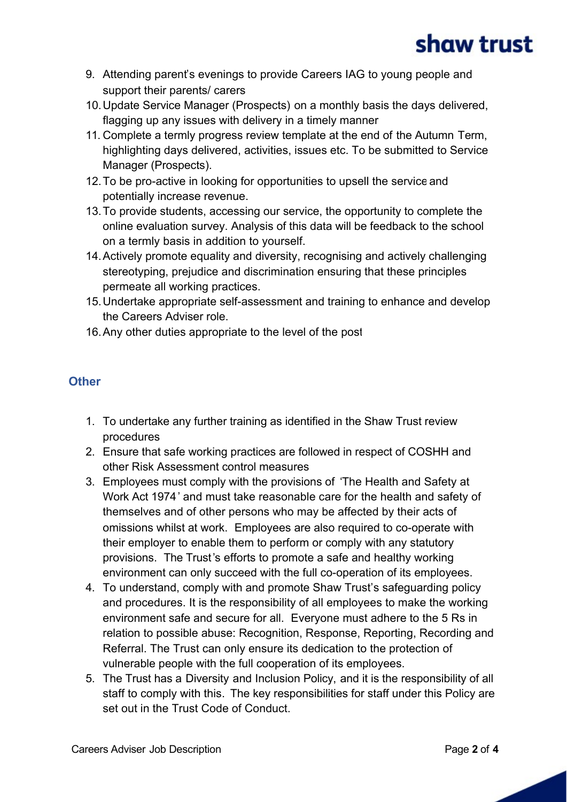- 9. Attending parent's evenings to provide Careers IAG to young people and support their parents/ carers
- 10.Update Service Manager (Prospects) on a monthly basis the days delivered, flagging up any issues with delivery in a timely manner
- 11. Complete a termly progress review template at the end of the Autumn Term, highlighting days delivered, activities, issues etc. To be submitted to Service Manager (Prospects).
- 12.To be pro-active in looking for opportunities to upsell the service and potentially increase revenue.
- 13.To provide students, accessing our service, the opportunity to complete the online evaluation survey. Analysis of this data will be feedback to the school on a termly basis in addition to yourself.
- 14.Actively promote equality and diversity, recognising and actively challenging stereotyping, prejudice and discrimination ensuring that these principles permeate all working practices.
- 15.Undertake appropriate self-assessment and training to enhance and develop the Careers Adviser role.
- 16.Any other duties appropriate to the level of the post

#### **Other**

- 1. To undertake any further training as identified in the Shaw Trust review procedures
- 2. Ensure that safe working practices are followed in respect of COSHH and other Risk Assessment control measures
- 3. Employees must comply with the provisions of 'The Health and Safety at Work Act 1974' and must take reasonable care for the health and safety of themselves and of other persons who may be affected by their acts of omissions whilst at work. Employees are also required to co-operate with their employer to enable them to perform or comply with any statutory provisions. The Trust's efforts to promote a safe and healthy working environment can only succeed with the full co-operation of its employees.
- 4. To understand, comply with and promote Shaw Trust's safeguarding policy and procedures. It is the responsibility of all employees to make the working environment safe and secure for all. Everyone must adhere to the 5 Rs in relation to possible abuse: Recognition, Response, Reporting, Recording and Referral. The Trust can only ensure its dedication to the protection of vulnerable people with the full cooperation of its employees.
- 5. The Trust has a Diversity and Inclusion Policy, and it is the responsibility of all staff to comply with this. The key responsibilities for staff under this Policy are set out in the Trust Code of Conduct.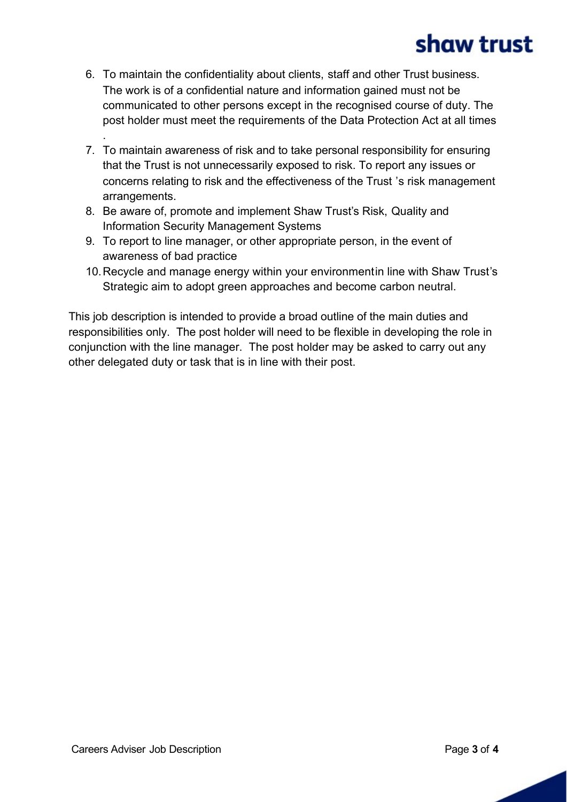- 6. To maintain the confidentiality about clients, staff and other Trust business. The work is of a confidential nature and information gained must not be communicated to other persons except in the recognised course of duty. The post holder must meet the requirements of the Data Protection Act at all times
- 7. To maintain awareness of risk and to take personal responsibility for ensuring that the Trust is not unnecessarily exposed to risk. To report any issues or concerns relating to risk and the effectiveness of the Trust 's risk management arrangements.
- 8. Be aware of, promote and implement Shaw Trust's Risk, Quality and Information Security Management Systems
- 9. To report to line manager, or other appropriate person, in the event of awareness of bad practice
- 10. Recycle and manage energy within your environmentin line with Shaw Trust's Strategic aim to adopt green approaches and become carbon neutral.

This job description is intended to provide a broad outline of the main duties and responsibilities only. The post holder will need to be flexible in developing the role in conjunction with the line manager. The post holder may be asked to carry out any other delegated duty or task that is in line with their post.

.